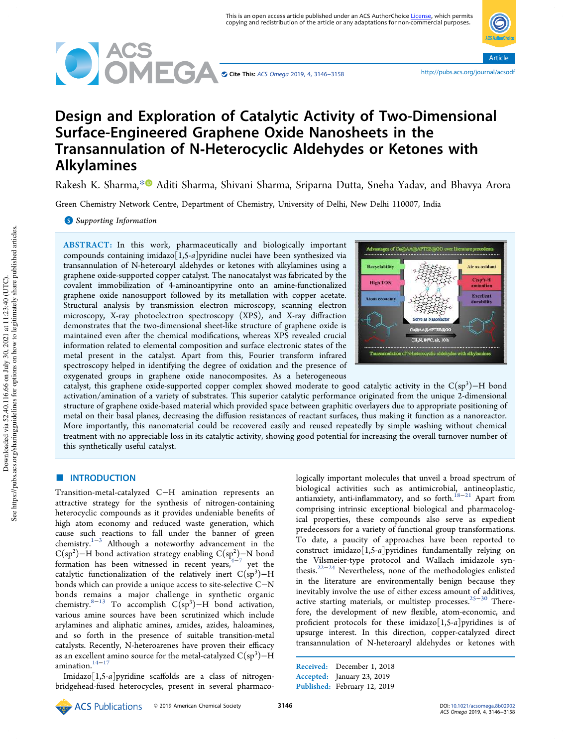

Article

# Design and Exploration of Catalytic Activity of Two-Dimensional Surface-Engineered Graphene Oxide Nanosheets in the Transannulation of N‑Heterocyclic Aldehydes or Ketones with Alkylamines

Rakesh K. Sharma,\*<sup>®</sup> Aditi Sharma, Shivani Sharma, Sriparna Dutta, Sneha Yadav, and Bhavya Arora

Green Chemistry Network Centre, Department of Chemistry, University of Delhi, New Delhi 110007, India

**S** Supporting Information

ABSTRACT: In this work, pharmaceutically and biologically important compounds containing imidazo[1,5-*a*]pyridine nuclei have been synthesized via transannulation of N-heteroaryl aldehydes or ketones with alkylamines using a graphene oxide-supported copper catalyst. The nanocatalyst was fabricated by the covalent immobilization of 4-aminoantipyrine onto an amine-functionalized graphene oxide nanosupport followed by its metallation with copper acetate. Structural analysis by transmission electron microscopy, scanning electron microscopy, X-ray photoelectron spectroscopy (XPS), and X-ray diffraction demonstrates that the two-dimensional sheet-like structure of graphene oxide is maintained even after the chemical modifications, whereas XPS revealed crucial information related to elemental composition and surface electronic states of the metal present in the catalyst. Apart from this, Fourier transform infrared spectroscopy helped in identifying the degree of oxidation and the presence of oxygenated groups in graphene oxide nanocomposites. As a heterogeneous



catalyst, this graphene oxide-supported copper complex showed moderate to good catalytic activity in the C(sp<sup>3</sup>)−H bond activation/amination of a variety of substrates. This superior catalytic performance originated from the unique 2-dimensional structure of graphene oxide-based material which provided space between graphitic overlayers due to appropriate positioning of metal on their basal planes, decreasing the diffusion resistances of reactant surfaces, thus making it function as a nanoreactor. More importantly, this nanomaterial could be recovered easily and reused repeatedly by simple washing without chemical treatment with no appreciable loss in its catalytic activity, showing good potential for increasing the overall turnover number of this synthetically useful catalyst.

# ■ INTRODUCTION

Transition-metal-catalyzed C−H amination represents an attractive strategy for the synthesis of nitrogen-containing heterocyclic compounds as it provides undeniable benefits of high atom economy and reduced waste generation, which cause such reactions to fall under the banner of green chemistry.1−<sup>3</sup> Although a noteworthy advancement in the  $C(sp^2)$ -H bond activation strategy enabling  $C(sp^2)$ -N bond  $\frac{f^{(1)}(P)}{f^{(2)}(P)}$  is been witnessed in recent years,<sup>4-7</sup> yet the catalytic functionalization of the relatively inert  $C(sp^3)$ -H bonds which can provide a unique access to site-selective C−N bonds remains a major challenge in synthetic organic chemistry.<sup>8−13</sup> To accomplish  $C(sp^3)$ –H bond activation, various amine sources have been scrutinized which include arylamines and aliphatic amines, amides, azides, haloamines, and so forth in the presence of suitable transition-metal catalysts. Recently, N-heteroarenes have proven their efficacy as an excellent amino source for the metal-catalyzed  $C(sp^3) - H$ amination.<sup>14−17</sup>

Imidazo[1,5-*a*]pyridine scaffolds are a class of nitrogenbridgehead-fused heterocycles, present in several pharmacologically important molecules that unveil a broad spectrum of biological activities such as antimicrobial, antineoplastic, antianxiety, anti-inflammatory, and so forth. $18-21$  Apart from comprising intrinsic exceptional biological and pharmacological properties, these compounds also serve as expedient predecessors for a variety of functional group transformations. To date, a paucity of approaches have been reported to construct imidazo[1,5-*a*]pyridines fundamentally relying on the Vilsmeier-type protocol and Wallach imidazole synthesis.22−<sup>24</sup> Nevertheless, none of the methodologies enlisted in the literature are environmentally benign because they inevitably involve the use of either excess amount of additives, active starting materials, or multistep processes.<sup>25−30</sup> Therefore, the development of new flexible, atom-economic, and proficient protocols for these imidazo[1,5-*a*]pyridines is of upsurge interest. In this direction, copper-catalyzed direct transannulation of N-heteroaryl aldehydes or ketones with

Received: December 1, 2018 Accepted: January 23, 2019 Published: February 12, 2019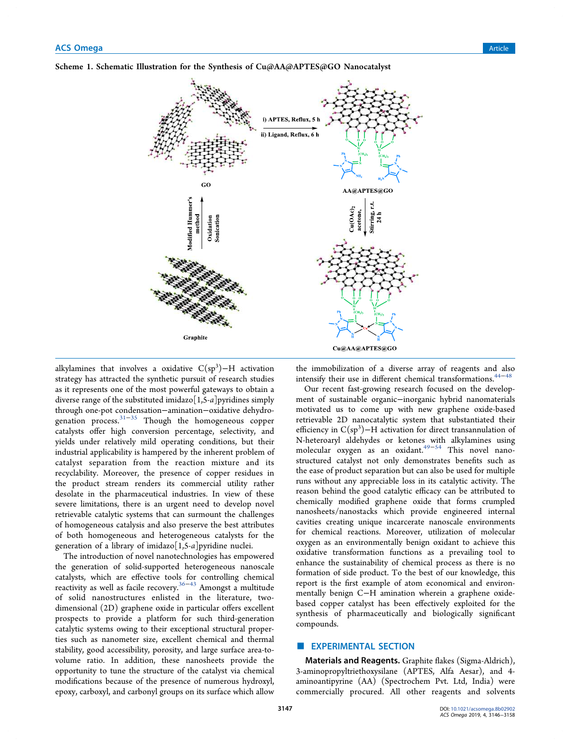

Scheme 1. Schematic Illustration for the Synthesis of Cu@AA@APTES@GO Nanocatalyst

alkylamines that involves a oxidative  $C(sp^3) - H$  activation strategy has attracted the synthetic pursuit of research studies as it represents one of the most powerful gateways to obtain a diverse range of the substituted imidazo[1,5-*a*]pyridines simply through one-pot condensation−amination−oxidative dehydrogenation process. $31-35$  Though the homogeneous copper catalysts offer high conversion percentage, selectivity, and yields under relatively mild operating conditions, but their industrial applicability is hampered by the inherent problem of catalyst separation from the reaction mixture and its recyclability. Moreover, the presence of copper residues in the product stream renders its commercial utility rather desolate in the pharmaceutical industries. In view of these severe limitations, there is an urgent need to develop novel retrievable catalytic systems that can surmount the challenges of homogeneous catalysis and also preserve the best attributes of both homogeneous and heterogeneous catalysts for the generation of a library of imidazo[1,5-*a*]pyridine nuclei.

The introduction of novel nanotechnologies has empowered the generation of solid-supported heterogeneous nanoscale catalysts, which are effective tools for controlling chemical reactivity as well as facile recovery.36−<sup>43</sup> Amongst a multitude of solid nanostructures enlisted in the literature, twodimensional (2D) graphene oxide in particular offers excellent prospects to provide a platform for such third-generation catalytic systems owing to their exceptional structural properties such as nanometer size, excellent chemical and thermal stability, good accessibility, porosity, and large surface area-tovolume ratio. In addition, these nanosheets provide the opportunity to tune the structure of the catalyst via chemical modifications because of the presence of numerous hydroxyl, epoxy, carboxyl, and carbonyl groups on its surface which allow

the immobilization of a diverse array of reagents and also intensify their use in different chemical transformations.44−<sup>48</sup>

Our recent fast-growing research focused on the development of sustainable organic−inorganic hybrid nanomaterials motivated us to come up with new graphene oxide-based retrievable 2D nanocatalytic system that substantiated their efficiency in  $C(sp^3)$ -H activation for direct transannulation of N-heteroaryl aldehydes or ketones with alkylamines using molecular oxygen as an oxidant.49−<sup>54</sup> This novel nanostructured catalyst not only demonstrates benefits such as the ease of product separation but can also be used for multiple runs without any appreciable loss in its catalytic activity. The reason behind the good catalytic efficacy can be attributed to chemically modified graphene oxide that forms crumpled nanosheets/nanostacks which provide engineered internal cavities creating unique incarcerate nanoscale environments for chemical reactions. Moreover, utilization of molecular oxygen as an environmentally benign oxidant to achieve this oxidative transformation functions as a prevailing tool to enhance the sustainability of chemical process as there is no formation of side product. To the best of our knowledge, this report is the first example of atom economical and environmentally benign C−H amination wherein a graphene oxidebased copper catalyst has been effectively exploited for the synthesis of pharmaceutically and biologically significant compounds.

# **EXPERIMENTAL SECTION**

Materials and Reagents. Graphite flakes (Sigma-Aldrich), 3-aminopropyltriethoxysilane (APTES, Alfa Aesar), and 4 aminoantipyrine (AA) (Spectrochem Pvt. Ltd, India) were commercially procured. All other reagents and solvents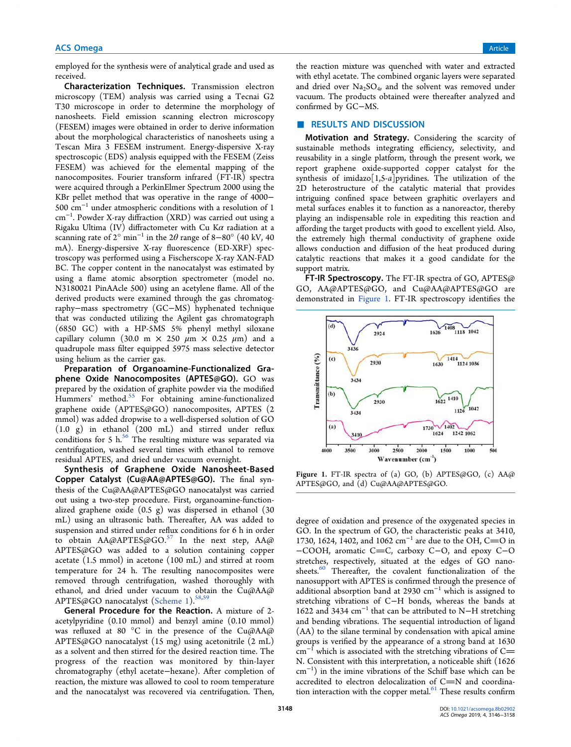employed for the synthesis were of analytical grade and used as received.

Characterization Techniques. Transmission electron microscopy (TEM) analysis was carried using a Tecnai G2 T30 microscope in order to determine the morphology of nanosheets. Field emission scanning electron microscopy (FESEM) images were obtained in order to derive information about the morphological characteristics of nanosheets using a Tescan Mira 3 FESEM instrument. Energy-dispersive X-ray spectroscopic (EDS) analysis equipped with the FESEM (Zeiss FESEM) was achieved for the elemental mapping of the nanocomposites. Fourier transform infrared (FT-IR) spectra were acquired through a PerkinElmer Spectrum 2000 using the KBr pellet method that was operative in the range of 4000− 500 cm<sup>−</sup><sup>1</sup> under atmospheric conditions with a resolution of 1 cm<sup>−</sup><sup>1</sup> . Powder X-ray diffraction (XRD) was carried out using a Rigaku Ultima (IV) diffractometer with Cu K $\alpha$  radiation at a scanning rate of  $2^{\circ}$  min<sup>-1</sup> in the  $2\theta$  range of 8–80° (40 kV, 40 mA). Energy-dispersive X-ray fluorescence (ED-XRF) spectroscopy was performed using a Fischerscope X-ray XAN-FAD BC. The copper content in the nanocatalyst was estimated by using a flame atomic absorption spectrometer (model no. N3180021 PinAAcle 500) using an acetylene flame. All of the derived products were examined through the gas chromatography−mass spectrometry (GC−MS) hyphenated technique that was conducted utilizing the Agilent gas chromatograph (6850 GC) with a HP-5MS 5% phenyl methyl siloxane capillary column (30.0 m  $\times$  250  $\mu$ m  $\times$  0.25  $\mu$ m) and a quadrupole mass filter equipped 5975 mass selective detector using helium as the carrier gas.

Preparation of Organoamine-Functionalized Graphene Oxide Nanocomposites (APTES@GO). GO was prepared by the oxidation of graphite powder via the modified Hummers' method.<sup>55</sup> For obtaining amine-functionalized graphene oxide (APTES@GO) nanocomposites, APTES (2 mmol) was added dropwise to a well-dispersed solution of GO (1.0 g) in ethanol (200 mL) and stirred under reflux conditions for 5 h. $^{56}$  The resulting mixture was separated via centrifugation, washed several times with ethanol to remove residual APTES, and dried under vacuum overnight.

Synthesis of Graphene Oxide Nanosheet-Based Copper Catalyst (Cu@AA@APTES@GO). The final synthesis of the Cu@AA@APTES@GO nanocatalyst was carried out using a two-step procedure. First, organoamine-functionalized graphene oxide (0.5 g) was dispersed in ethanol (30 mL) using an ultrasonic bath. Thereafter, AA was added to suspension and stirred under reflux conditions for 6 h in order to obtain  $AA@APTES@GO.^{57}$  In the next step,  $AA@$ APTES@GO was added to a solution containing copper acetate (1.5 mmol) in acetone (100 mL) and stirred at room temperature for 24 h. The resulting nanocomposites were removed through centrifugation, washed thoroughly with ethanol, and dried under vacuum to obtain the Cu@AA@ APTES@GO nanocatalyst (Scheme 1).<sup>58,5</sup>

General Procedure for the Reaction. A mixture of 2acetylpyridine (0.10 mmol) and benzyl amine (0.10 mmol) was refluxed at 80 °C in the presence of the Cu@AA@ APTES@GO nanocatalyst (15 mg) using acetonitrile (2 mL) as a solvent and then stirred for the desired reaction time. The progress of the reaction was monitored by thin-layer chromatography (ethyl acetate−hexane). After completion of reaction, the mixture was allowed to cool to room temperature and the nanocatalyst was recovered via centrifugation. Then,

the reaction mixture was quenched with water and extracted with ethyl acetate. The combined organic layers were separated and dried over  $\text{Na}_2\text{SO}_4$ , and the solvent was removed under vacuum. The products obtained were thereafter analyzed and confirmed by GC−MS.

## ■ RESULTS AND DISCUSSION

Motivation and Strategy. Considering the scarcity of sustainable methods integrating efficiency, selectivity, and reusability in a single platform, through the present work, we report graphene oxide-supported copper catalyst for the synthesis of imidazo[1,5-*a*]pyridines. The utilization of the 2D heterostructure of the catalytic material that provides intriguing confined space between graphitic overlayers and metal surfaces enables it to function as a nanoreactor, thereby playing an indispensable role in expediting this reaction and affording the target products with good to excellent yield. Also, the extremely high thermal conductivity of graphene oxide allows conduction and diffusion of the heat produced during catalytic reactions that makes it a good candidate for the support matrix.

FT-IR Spectroscopy. The FT-IR spectra of GO, APTES@ GO, AA@APTES@GO, and Cu@AA@APTES@GO are demonstrated in Figure 1. FT-IR spectroscopy identifies the



Figure 1. FT-IR spectra of (a) GO, (b) APTES@GO, (c) AA@ APTES@GO, and (d) Cu@AA@APTES@GO.

degree of oxidation and presence of the oxygenated species in GO. In the spectrum of GO, the characteristic peaks at 3410, 1730, 1624, 1402, and 1062 cm<sup>-1</sup> are due to the OH, C=O in −COOH, aromatic C=C, carboxy C−O, and epoxy C−O stretches, respectively, situated at the edges of GO nanosheets.<sup>60</sup> Thereafter, the covalent functionalization of the nanosupport with APTES is confirmed through the presence of additional absorption band at 2930 cm<sup>−</sup><sup>1</sup> which is assigned to stretching vibrations of C−H bonds, whereas the bands at 1622 and 3434 cm<sup>−</sup><sup>1</sup> that can be attributed to N−H stretching and bending vibrations. The sequential introduction of ligand (AA) to the silane terminal by condensation with apical amine groups is verified by the appearance of a strong band at 1630 cm<sup>−</sup><sup>1</sup> which is associated with the stretching vibrations of C N. Consistent with this interpretation, a noticeable shift (1626 cm<sup>−</sup><sup>1</sup> ) in the imine vibrations of the Schiff base which can be accredited to electron delocalization of  $C=N$  and coordination interaction with the copper metal. $^{61}$  These results confirm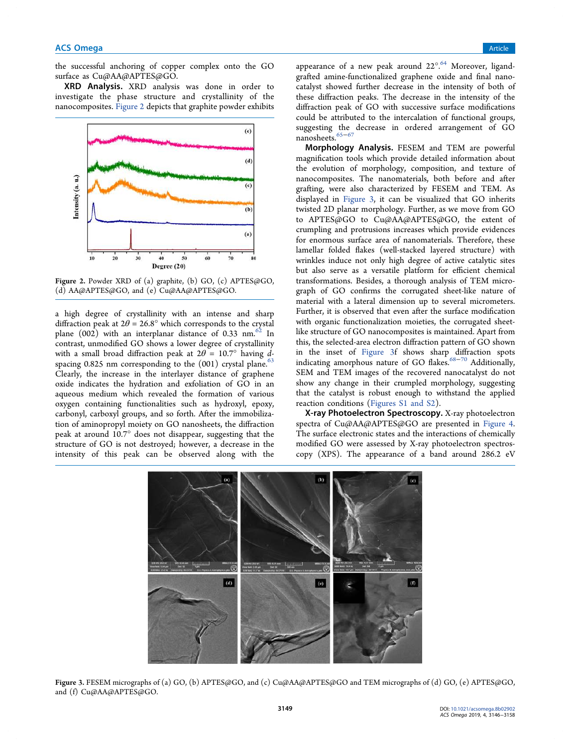the successful anchoring of copper complex onto the GO surface as Cu@AA@APTES@GO.

XRD Analysis. XRD analysis was done in order to investigate the phase structure and crystallinity of the nanocomposites. Figure 2 depicts that graphite powder exhibits



Figure 2. Powder XRD of (a) graphite, (b) GO, (c) APTES@GO, (d) AA@APTES@GO, and (e) Cu@AA@APTES@GO.

a high degree of crystallinity with an intense and sharp diffraction peak at  $2\theta = 26.8^\circ$  which corresponds to the crystal plane  $(002)$  with an interplanar distance of 0.33 nm.<sup>62</sup> In contrast, unmodified GO shows a lower degree of crystallinity with a small broad diffraction peak at  $2\theta = 10.7^\circ$  having dspacing  $0.825$  nm corresponding to the  $(001)$  crystal plane.<sup>63</sup> Clearly, the increase in the interlayer distance of graphene oxide indicates the hydration and exfoliation of GO in an aqueous medium which revealed the formation of various oxygen containing functionalities such as hydroxyl, epoxy, carbonyl, carboxyl groups, and so forth. After the immobilization of aminopropyl moiety on GO nanosheets, the diffraction peak at around 10.7° does not disappear, suggesting that the structure of GO is not destroyed; however, a decrease in the intensity of this peak can be observed along with the

appearance of a new peak around 22°.<sup>64</sup> Moreover, ligandgrafted amine-functionalized graphene oxide and final nanocatalyst showed further decrease in the intensity of both of these diffraction peaks. The decrease in the intensity of the diffraction peak of GO with successive surface modifications could be attributed to the intercalation of functional groups, suggesting the decrease in ordered arrangement of GO nanosheets.65−<sup>67</sup>

Morphology Analysis. FESEM and TEM are powerful magnification tools which provide detailed information about the evolution of morphology, composition, and texture of nanocomposites. The nanomaterials, both before and after grafting, were also characterized by FESEM and TEM. As displayed in Figure 3, it can be visualized that GO inherits twisted 2D planar morphology. Further, as we move from GO to APTES@GO to Cu@AA@APTES@GO, the extent of crumpling and protrusions increases which provide evidences for enormous surface area of nanomaterials. Therefore, these lamellar folded flakes (well-stacked layered structure) with wrinkles induce not only high degree of active catalytic sites but also serve as a versatile platform for efficient chemical transformations. Besides, a thorough analysis of TEM micrograph of GO confirms the corrugated sheet-like nature of material with a lateral dimension up to several micrometers. Further, it is observed that even after the surface modification with organic functionalization moieties, the corrugated sheetlike structure of GO nanocomposites is maintained. Apart from this, the selected-area electron diffraction pattern of GO shown in the inset of Figure 3f shows sharp diffraction spots indicating amorphous nature of GO flakes.68−<sup>70</sup> Additionally, SEM and TEM images of the recovered nanocatalyst do not show any change in their crumpled morphology, suggesting that the catalyst is robust enough to withstand the applied reaction conditions (Figures S1 and S2).

X-ray Photoelectron Spectroscopy. X-ray photoelectron spectra of Cu@AA@APTES@GO are presented in Figure 4. The surface electronic states and the interactions of chemically modified GO were assessed by X-ray photoelectron spectroscopy (XPS). The appearance of a band around 286.2 eV



Figure 3. FESEM micrographs of (a) GO, (b) APTES@GO, and (c) Cu@AA@APTES@GO and TEM micrographs of (d) GO, (e) APTES@GO, and (f) Cu@AA@APTES@GO.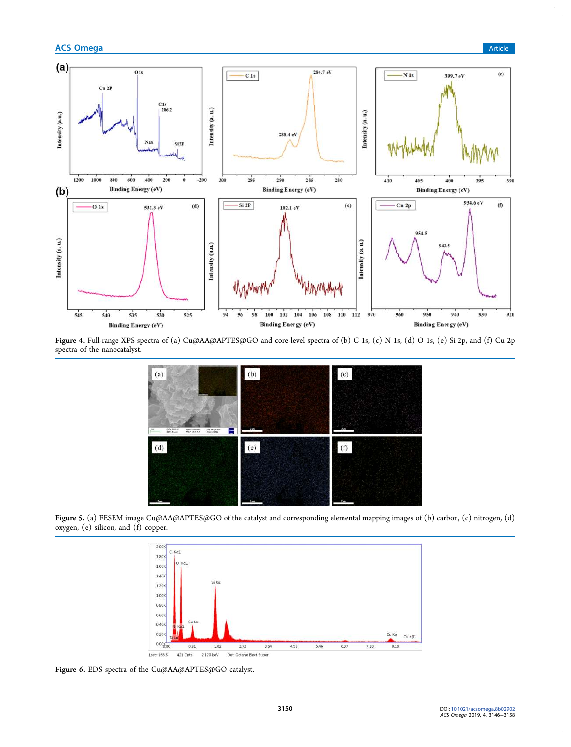

Figure 4. Full-range XPS spectra of (a) Cu@AA@APTES@GO and core-level spectra of (b) C 1s, (c) N 1s, (d) O 1s, (e) Si 2p, and (f) Cu 2p spectra of the nanocatalyst.



Figure 5. (a) FESEM image Cu@AA@APTES@GO of the catalyst and corresponding elemental mapping images of (b) carbon, (c) nitrogen, (d) oxygen, (e) silicon, and (f) copper.



Figure 6. EDS spectra of the Cu@AA@APTES@GO catalyst.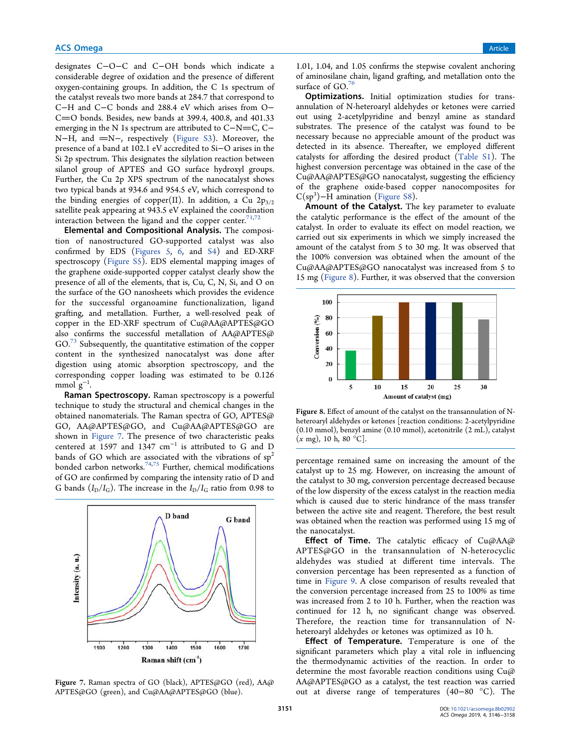designates C−O−C and C−OH bonds which indicate a considerable degree of oxidation and the presence of different oxygen-containing groups. In addition, the C 1s spectrum of the catalyst reveals two more bands at 284.7 that correspond to C−H and C−C bonds and 288.4 eV which arises from O−  $C=O$  bonds. Besides, new bands at 399.4, 400.8, and 401.33 emerging in the N 1s spectrum are attributed to C−N=C, C− N−H, and =N−, respectively (Figure S3). Moreover, the presence of a band at 102.1 eV accredited to Si−O arises in the Si 2p spectrum. This designates the silylation reaction between silanol group of APTES and GO surface hydroxyl groups. Further, the Cu 2p XPS spectrum of the nanocatalyst shows two typical bands at 934.6 and 954.5 eV, which correspond to the binding energies of copper(II). In addition, a Cu  $2p_{3/2}$ satellite peak appearing at 943.5 eV explained the coordination interaction between the ligand and the copper center.  $1/1/2$ 

Elemental and Compositional Analysis. The composition of nanostructured GO-supported catalyst was also confirmed by EDS (Figures 5, 6, and S4) and ED-XRF spectroscopy (Figure S5). EDS elemental mapping images of the graphene oxide-supported copper catalyst clearly show the presence of all of the elements, that is, Cu, C, N, Si, and O on the surface of the GO nanosheets which provides the evidence for the successful organoamine functionalization, ligand grafting, and metallation. Further, a well-resolved peak of copper in the ED-XRF spectrum of Cu@AA@APTES@GO also confirms the successful metallation of AA@APTES@ GO.<sup>73</sup> Subsequently, the quantitative estimation of the copper content in the synthesized nanocatalyst was done after digestion using atomic absorption spectroscopy, and the corresponding copper loading was estimated to be 0.126  $mmol<sub>g<sup>-1</sup></sub>$ .

Raman Spectroscopy. Raman spectroscopy is a powerful technique to study the structural and chemical changes in the obtained nanomaterials. The Raman spectra of GO, APTES@ GO, AA@APTES@GO, and Cu@AA@APTES@GO are shown in Figure 7. The presence of two characteristic peaks centered at 1597 and 1347 cm<sup>−</sup><sup>1</sup> is attributed to G and D bands of GO which are associated with the vibrations of  $sp^2$ bonded carbon networks.74,75 Further, chemical modifications of GO are confirmed by comparing the intensity ratio of D and G bands  $(I_D/I_G)$ . The increase in the  $I_D/I_G$  ratio from 0.98 to



Figure 7. Raman spectra of GO (black), APTES@GO (red), AA@ APTES@GO (green), and Cu@AA@APTES@GO (blue).

1.01, 1.04, and 1.05 confirms the stepwise covalent anchoring of aminosilane chain, ligand grafting, and metallation onto the surface of  $GO$ .

Optimizations. Initial optimization studies for transannulation of N-heteroaryl aldehydes or ketones were carried out using 2-acetylpyridine and benzyl amine as standard substrates. The presence of the catalyst was found to be necessary because no appreciable amount of the product was detected in its absence. Thereafter, we employed different catalysts for affording the desired product (Table S1). The highest conversion percentage was obtained in the case of the Cu@AA@APTES@GO nanocatalyst, suggesting the efficiency of the graphene oxide-based copper nanocomposites for C(sp<sup>3</sup>)-H amination (Figure S8).

Amount of the Catalyst. The key parameter to evaluate the catalytic performance is the effect of the amount of the catalyst. In order to evaluate its effect on model reaction, we carried out six experiments in which we simply increased the amount of the catalyst from 5 to 30 mg. It was observed that the 100% conversion was obtained when the amount of the Cu@AA@APTES@GO nanocatalyst was increased from 5 to 15 mg (Figure 8). Further, it was observed that the conversion



Figure 8. Effect of amount of the catalyst on the transannulation of Nheteroaryl aldehydes or ketones [reaction conditions: 2-acetylpyridine (0.10 mmol), benzyl amine (0.10 mmol), acetonitrile (2 mL), catalyst  $(x \text{ mg})$ , 10 h, 80 °C].

percentage remained same on increasing the amount of the catalyst up to 25 mg. However, on increasing the amount of the catalyst to 30 mg, conversion percentage decreased because of the low dispersity of the excess catalyst in the reaction media which is caused due to steric hindrance of the mass transfer between the active site and reagent. Therefore, the best result was obtained when the reaction was performed using 15 mg of the nanocatalyst.

Effect of Time. The catalytic efficacy of Cu@AA@ APTES@GO in the transannulation of N-heterocyclic aldehydes was studied at different time intervals. The conversion percentage has been represented as a function of time in Figure 9. A close comparison of results revealed that the conversion percentage increased from 25 to 100% as time was increased from 2 to 10 h. Further, when the reaction was continued for 12 h, no significant change was observed. Therefore, the reaction time for transannulation of Nheteroaryl aldehydes or ketones was optimized as 10 h.

**Effect of Temperature.** Temperature is one of the significant parameters which play a vital role in influencing the thermodynamic activities of the reaction. In order to determine the most favorable reaction conditions using Cu@ AA@APTES@GO as a catalyst, the test reaction was carried out at diverse range of temperatures (40−80 °C). The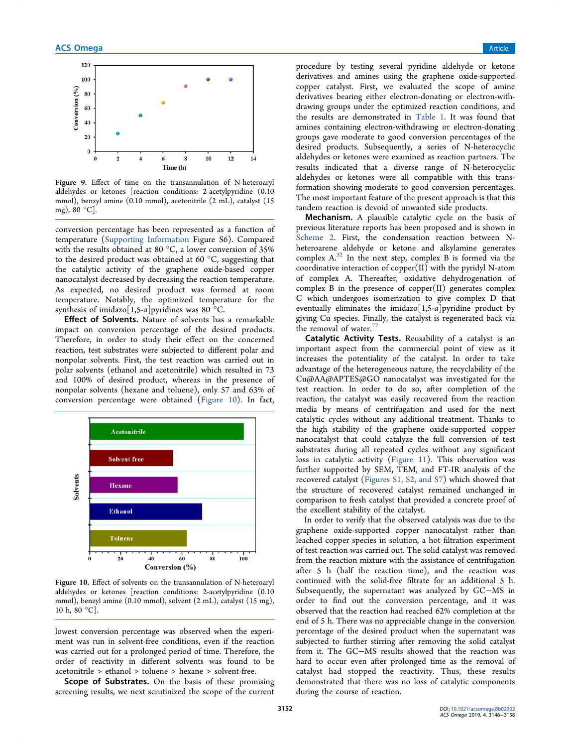

Figure 9. Effect of time on the transannulation of N-heteroaryl aldehydes or ketones [reaction conditions: 2-acetylpyridine (0.10 mmol), benzyl amine (0.10 mmol), acetonitrile (2 mL), catalyst (15 mg), 80 °C].

conversion percentage has been represented as a function of temperature (Supporting Information Figure S6). Compared with the results obtained at 80 °C, a lower conversion of 35% to the desired product was obtained at 60 °C, suggesting that the catalytic activity of the graphene oxide-based copper nanocatalyst decreased by decreasing the reaction temperature. As expected, no desired product was formed at room temperature. Notably, the optimized temperature for the synthesis of imidazo[1,5-*a*]pyridines was 80 °C.

Effect of Solvents. Nature of solvents has a remarkable impact on conversion percentage of the desired products. Therefore, in order to study their effect on the concerned reaction, test substrates were subjected to different polar and nonpolar solvents. First, the test reaction was carried out in polar solvents (ethanol and acetonitrile) which resulted in 73 and 100% of desired product, whereas in the presence of nonpolar solvents (hexane and toluene), only 57 and 63% of conversion percentage were obtained (Figure 10). In fact,



Figure 10. Effect of solvents on the transannulation of N-heteroaryl aldehydes or ketones [reaction conditions: 2-acetylpyridine (0.10 mmol), benzyl amine (0.10 mmol), solvent (2 mL), catalyst (15 mg), 10 h, 80 °C].

lowest conversion percentage was observed when the experiment was run in solvent-free conditions, even if the reaction was carried out for a prolonged period of time. Therefore, the order of reactivity in different solvents was found to be acetonitrile > ethanol > toluene > hexane > solvent-free.

Scope of Substrates. On the basis of these promising screening results, we next scrutinized the scope of the current

procedure by testing several pyridine aldehyde or ketone derivatives and amines using the graphene oxide-supported copper catalyst. First, we evaluated the scope of amine derivatives bearing either electron-donating or electron-withdrawing groups under the optimized reaction conditions, and the results are demonstrated in Table 1. It was found that amines containing electron-withdrawing or electron-donating groups gave moderate to good conversion percentages of the desired products. Subsequently, a series of N-heterocyclic aldehydes or ketones were examined as reaction partners. The results indicated that a diverse range of N-heterocyclic aldehydes or ketones were all compatible with this transformation showing moderate to good conversion percentages. The most important feature of the present approach is that this tandem reaction is devoid of unwanted side products.

Mechanism. A plausible catalytic cycle on the basis of previous literature reports has been proposed and is shown in Scheme 2. First, the condensation reaction between Nheteroarene aldehyde or ketone and alkylamine generates complex A.<sup>32</sup> In the next step, complex B is formed via the coordinative interaction of copper(II) with the pyridyl N-atom of complex A. Thereafter, oxidative dehydrogenation of complex  $B$  in the presence of copper $(II)$  generates complex C which undergoes isomerization to give complex D that eventually eliminates the imidazo $[1,5-a]$ pyridine product by giving Cu species. Finally, the catalyst is regenerated back via the removal of water.

Catalytic Activity Tests. Reusability of a catalyst is an important aspect from the commercial point of view as it increases the potentiality of the catalyst. In order to take advantage of the heterogeneous nature, the recyclability of the Cu@AA@APTES@GO nanocatalyst was investigated for the test reaction. In order to do so, after completion of the reaction, the catalyst was easily recovered from the reaction media by means of centrifugation and used for the next catalytic cycles without any additional treatment. Thanks to the high stability of the graphene oxide-supported copper nanocatalyst that could catalyze the full conversion of test substrates during all repeated cycles without any significant loss in catalytic activity (Figure 11). This observation was further supported by SEM, TEM, and FT-IR analysis of the recovered catalyst (Figures S1, S2, and S7) which showed that the structure of recovered catalyst remained unchanged in comparison to fresh catalyst that provided a concrete proof of the excellent stability of the catalyst.

In order to verify that the observed catalysis was due to the graphene oxide-supported copper nanocatalyst rather than leached copper species in solution, a hot filtration experiment of test reaction was carried out. The solid catalyst was removed from the reaction mixture with the assistance of centrifugation after 5 h (half the reaction time), and the reaction was continued with the solid-free filtrate for an additional 5 h. Subsequently, the supernatant was analyzed by GC−MS in order to find out the conversion percentage, and it was observed that the reaction had reached 62% completion at the end of 5 h. There was no appreciable change in the conversion percentage of the desired product when the supernatant was subjected to further stirring after removing the solid catalyst from it. The GC−MS results showed that the reaction was hard to occur even after prolonged time as the removal of catalyst had stopped the reactivity. Thus, these results demonstrated that there was no loss of catalytic components during the course of reaction.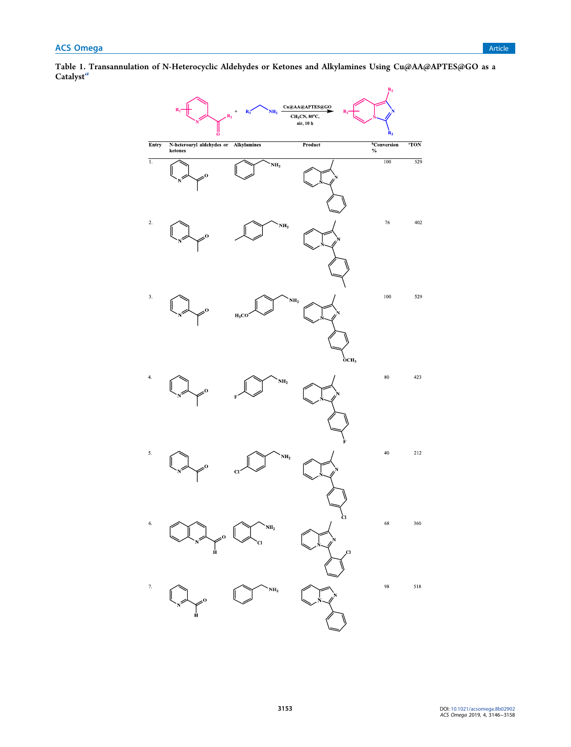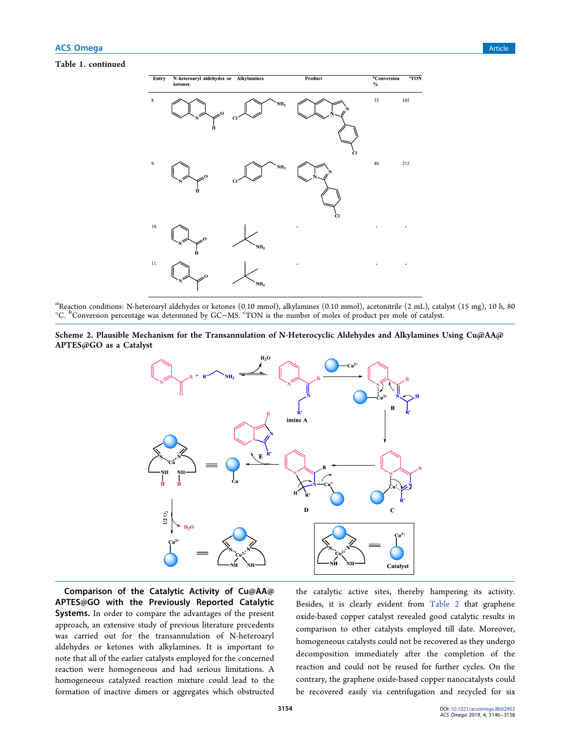#### Table 1. continued



*a*<br>Reaction conditions: N-heteroaryl aldehydes or ketones (0.10 mmol), alkylamines (0.10 mmol), acetonitrile (2 mL), catalyst (15 mg), 10 h, 80 °C. <sup>*b*</sup>Conversion percentage was determined by GC−MS. <sup>*c*</sup>TON is the number of moles of product per mole of catalyst.

Scheme 2. Plausible Mechanism for the Transannulation of N-Heterocyclic Aldehydes and Alkylamines Using Cu@AA@ APTES@GO as a Catalyst



Comparison of the Catalytic Activity of Cu@AA@ APTES@GO with the Previously Reported Catalytic Systems. In order to compare the advantages of the present approach, an extensive study of previous literature precedents was carried out for the transannulation of N-heteroaryl aldehydes or ketones with alkylamines. It is important to note that all of the earlier catalysts employed for the concerned reaction were homogeneous and had serious limitations. A homogeneous catalyzed reaction mixture could lead to the formation of inactive dimers or aggregates which obstructed

the catalytic active sites, thereby hampering its activity. Besides, it is clearly evident from Table 2 that graphene oxide-based copper catalyst revealed good catalytic results in comparison to other catalysts employed till date. Moreover, homogeneous catalysts could not be recovered as they undergo decomposition immediately after the completion of the reaction and could not be reused for further cycles. On the contrary, the graphene oxide-based copper nanocatalysts could be recovered easily via centrifugation and recycled for six

3154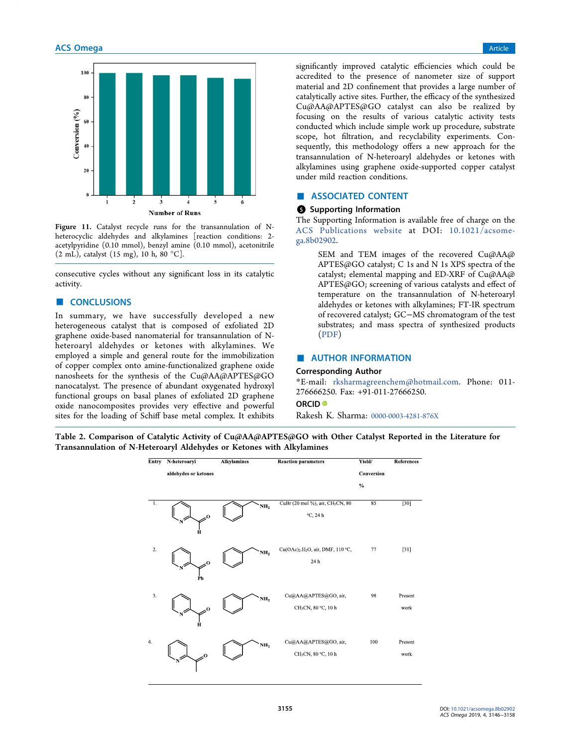

Figure 11. Catalyst recycle runs for the transannulation of Nheterocyclic aldehydes and alkylamines [reaction conditions: 2 acetylpyridine (0.10 mmol), benzyl amine (0.10 mmol), acetonitrile (2 mL), catalyst (15 mg), 10 h, 80 °C].

consecutive cycles without any significant loss in its catalytic activity.

# ■ CONCLUSIONS

In summary, we have successfully developed a new heterogeneous catalyst that is composed of exfoliated 2D graphene oxide-based nanomaterial for transannulation of Nheteroaryl aldehydes or ketones with alkylamines. We employed a simple and general route for the immobilization of copper complex onto amine-functionalized graphene oxide nanosheets for the synthesis of the Cu@AA@APTES@GO nanocatalyst. The presence of abundant oxygenated hydroxyl functional groups on basal planes of exfoliated 2D graphene oxide nanocomposites provides very effective and powerful sites for the loading of Schiff base metal complex. It exhibits

significantly improved catalytic efficiencies which could be accredited to the presence of nanometer size of support material and 2D confinement that provides a large number of catalytically active sites. Further, the efficacy of the synthesized Cu@AA@APTES@GO catalyst can also be realized by focusing on the results of various catalytic activity tests conducted which include simple work up procedure, substrate scope, hot filtration, and recyclability experiments. Consequently, this methodology offers a new approach for the transannulation of N-heteroaryl aldehydes or ketones with alkylamines using graphene oxide-supported copper catalyst under mild reaction conditions.

## ■ ASSOCIATED CONTENT

#### **S** Supporting Information

The Supporting Information is available free of charge on the ACS Publications website at DOI: 10.1021/acsomega.8b02902.

SEM and TEM images of the recovered Cu@AA@ APTES@GO catalyst; C 1s and N 1s XPS spectra of the catalyst; elemental mapping and ED-XRF of Cu@AA@ APTES@GO; screening of various catalysts and effect of temperature on the transannulation of N-heteroaryl aldehydes or ketones with alkylamines; FT-IR spectrum of recovered catalyst; GC−MS chromatogram of the test substrates; and mass spectra of synthesized products (PDF)

# ■ AUTHOR INFORMATION

## Corresponding Author

\*E-mail: rksharmagreenchem@hotmail.com. Phone: 011- 276666250. Fax: +91-011-27666250.

# ORCID<sup>®</sup>

Rakesh K. Sharma: 0000-0003-4281-876X

Table 2. Comparison of Catalytic Activity of Cu@AA@APTES@GO with Other Catalyst Reported in the Literature for Transannulation of N-Heteroaryl Aldehydes or Ketones with Alkylamines

| Entry | N heteroaryl                  | <b>Alkylamines</b> | <b>Reaction parameters</b>                                                               | Yield/     | References      |
|-------|-------------------------------|--------------------|------------------------------------------------------------------------------------------|------------|-----------------|
|       | aldehydes or ketones          |                    |                                                                                          | Conversion |                 |
|       |                               |                    |                                                                                          | $\%$       |                 |
| 1.    | $\Omega$                      | NH <sub>2</sub>    | CuBr (20 mol %), air, CH <sub>3</sub> CN, 80<br>$°C$ , 24 h                              | 85         | $[30]$          |
| 2.    | $\overline{\mathbf{0}}$<br>Рh | NH <sub>2</sub>    | Cu(OAc) <sub>2</sub> .H <sub>2</sub> O, air, DMF, 110 °C,<br>$24\,\ensuremath{\hbox{h}}$ | 77         | $[31]$          |
| 3.    | .o<br>н                       | NH <sub>2</sub>    | Cu@AA@APTES@GO, air,<br>CH <sub>3</sub> CN, 80 °C, 10 h                                  | 98         | Present<br>work |
| 4.    | .o                            | NH <sub>2</sub>    | Cu@AA@APTES@GO, air,<br>CH <sub>3</sub> CN, 80 °C, 10 h                                  | 100        | Present<br>work |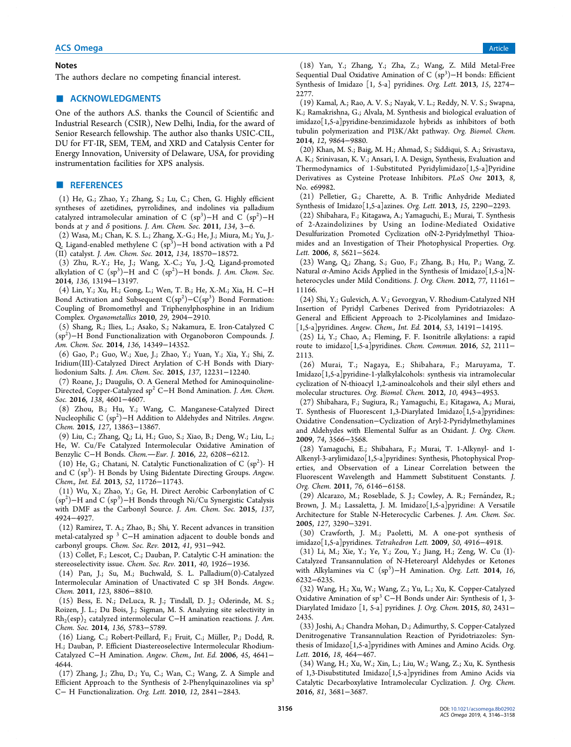#### Notes

The authors declare no competing financial interest.

## ■ ACKNOWLEDGMENTS

One of the authors A.S. thanks the Council of Scientific and Industrial Research (CSIR), New Delhi, India, for the award of Senior Research fellowship. The author also thanks USIC-CIL, DU for FT-IR, SEM, TEM, and XRD and Catalysis Center for Energy Innovation, University of Delaware, USA, for providing instrumentation facilities for XPS analysis.

## ■ REFERENCES

(1) He, G.; Zhao, Y.; Zhang, S.; Lu, C.; Chen, G. Highly efficient syntheses of azetidines, pyrrolidines, and indolines via palladium catalyzed intramolecular amination of C  $(sp^3)$ –H and C  $(sp^2)$ –H bonds at γ and δ positions. *J. Am. Chem. Soc.* 2011, *134*, 3−6.

(2) Wasa, M.; Chan, K. S. L.; Zhang, X.-G.; He, J.; Miura, M.; Yu, J.- Q. Ligand-enabled methylene C (sp<sup>3</sup>)–H bond activation with a Pd (II) catalyst. *J. Am. Chem. Soc.* 2012, *134*, 18570−18572.

(3) Zhu, R.-Y.; He, J.; Wang, X.-C.; Yu, J.-Q. Ligand-promoted alkylation of C (sp<sup>3</sup> )−H and C (sp<sup>2</sup> )−H bonds. *J. Am. Chem. Soc.* 2014, *136*, 13194−13197.

(4) Lin, Y.; Xu, H.; Gong, L.; Wen, T. B.; He, X.-M.; Xia, H. C−H Bond Activation and Subsequent  $C(sp^2) - C(sp^3)$  Bond Formation: Coupling of Bromomethyl and Triphenylphosphine in an Iridium Complex. *Organometallics* 2010, *29*, 2904−2910.

(5) Shang, R.; Ilies, L.; Asako, S.; Nakamura, E. Iron-Catalyzed C (sp<sup>2</sup> )−H Bond Functionalization with Organoboron Compounds. *J. Am. Chem. Soc.* 2014, *136*, 14349−14352.

(6) Gao, P.; Guo, W.; Xue, J.; Zhao, Y.; Yuan, Y.; Xia, Y.; Shi, Z. Iridium(III)-Catalyzed Direct Arylation of C-H Bonds with Diaryliodonium Salts. *J. Am. Chem. Soc.* 2015, *137*, 12231−12240.

(7) Roane, J.; Daugulis, O. A General Method for Aminoquinoline-Directed, Copper-Catalyzed sp<sup>2</sup> C−H Bond Amination. *J. Am. Chem. Soc.* 2016, *138*, 4601−4607.

(8) Zhou, B.; Hu, Y.; Wang, C. Manganese-Catalyzed Direct Nucleophilic C (sp<sup>2</sup> )−H Addition to Aldehydes and Nitriles. *Angew. Chem.* 2015, *127*, 13863−13867.

(9) Liu, C.; Zhang, Q.; Li, H.; Guo, S.; Xiao, B.; Deng, W.; Liu, L.; He, W. Cu/Fe Catalyzed Intermolecular Oxidative Amination of Benzylic C−H Bonds. *Chem.Eur. J.* 2016, *22*, 6208−6212.

(10) He, G.; Chatani, N. Catalytic Functionalization of C  $(sp^2)$ - H and C (sp<sup>3</sup>)- H Bonds by Using Bidentate Directing Groups. *Angew*. *Chem., Int. Ed.* 2013, *52*, 11726−11743.

(11) Wu, X.; Zhao, Y.; Ge, H. Direct Aerobic Carbonylation of C (sp<sup>2</sup> )−H and C (sp<sup>3</sup> )−H Bonds through Ni/Cu Synergistic Catalysis with DMF as the Carbonyl Source. *J. Am. Chem. Soc.* 2015, *137*, 4924−4927.

(12) Ramirez, T. A.; Zhao, B.; Shi, Y. Recent advances in transition metal-catalyzed sp <sup>3</sup> C−H amination adjacent to double bonds and carbonyl groups. *Chem. Soc. Rev.* 2012, *41*, 931−942.

(13) Collet, F.; Lescot, C.; Dauban, P. Catalytic C-H amination: the stereoselectivity issue. *Chem. Soc. Rev.* 2011, *40*, 1926−1936.

(14) Pan, J.; Su, M.; Buchwald, S. L. Palladium(0)-Catalyzed Intermolecular Amination of Unactivated C sp 3H Bonds. *Angew. Chem.* 2011, *123*, 8806−8810.

(15) Bess, E. N.; DeLuca, R. J.; Tindall, D. J.; Oderinde, M. S.; Roizen, J. L.; Du Bois, J.; Sigman, M. S. Analyzing site selectivity in Rh<sub>2</sub>(esp)<sub>2</sub> catalyzed intermolecular C−H amination reactions. *J. Am. Chem. Soc.* 2014, *136*, 5783−5789.

(16) Liang, C.; Robert-Peillard, F.; Fruit, C.; Müller, P.; Dodd, R. H.; Dauban, P. Efficient Diastereoselective Intermolecular Rhodium-Catalyzed C−H Amination. *Angew. Chem., Int. Ed.* 2006, *45*, 4641− 4644.

(17) Zhang, J.; Zhu, D.; Yu, C.; Wan, C.; Wang, Z. A Simple and Efficient Approach to the Synthesis of 2-Phenylquinazolines via  $sp<sup>3</sup>$ C− H Functionalization. *Org. Lett.* 2010, *12*, 2841−2843.

(18) Yan, Y.; Zhang, Y.; Zha, Z.; Wang, Z. Mild Metal-Free Sequential Dual Oxidative Amination of C (sp<sup>3</sup>)-H bonds: Efficient Synthesis of Imidazo [1, 5-a] pyridines. *Org. Lett.* 2013, *15*, 2274− 2277.

(19) Kamal, A.; Rao, A. V. S.; Nayak, V. L.; Reddy, N. V. S.; Swapna, K.; Ramakrishna, G.; Alvala, M. Synthesis and biological evaluation of imidazo[1,5-a]pyridine-benzimidazole hybrids as inhibitors of both tubulin polymerization and PI3K/Akt pathway. *Org. Biomol. Chem.* 2014, *12*, 9864−9880.

(20) Khan, M. S.; Baig, M. H.; Ahmad, S.; Siddiqui, S. A.; Srivastava, A. K.; Srinivasan, K. V.; Ansari, I. A. Design, Synthesis, Evaluation and Thermodynamics of 1-Substituted Pyridylimidazo [1,5-a]Pyridine Derivatives as Cysteine Protease Inhibitors. *PLoS One* 2013, *8*, No. e69982.

(21) Pelletier, G.; Charette, A. B. Triflic Anhydride Mediated Synthesis of Imidazo[1,5-a]azines. *Org. Lett.* 2013, *15*, 2290−2293.

(22) Shibahara, F.; Kitagawa, A.; Yamaguchi, E.; Murai, T. Synthesis of 2-Azaindolizines by Using an Iodine-Mediated Oxidative Desulfurization Promoted Cyclization ofN-2-Pyridylmethyl Thioamides and an Investigation of Their Photophysical Properties. *Org. Lett.* 2006, *8*, 5621−5624.

(23) Wang, Q.; Zhang, S.; Guo, F.; Zhang, B.; Hu, P.; Wang, Z. Natural α-Amino Acids Applied in the Synthesis of Imidazo $[1,5-a]$ Nheterocycles under Mild Conditions. *J. Org. Chem.* 2012, *77*, 11161− 11166.

(24) Shi, Y.; Gulevich, A. V.; Gevorgyan, V. Rhodium-Catalyzed NH Insertion of Pyridyl Carbenes Derived from Pyridotriazoles: A General and Efficient Approach to 2-Picolylamines and Imidazo- [1,5-a]pyridines. *Angew. Chem., Int. Ed.* 2014, *53*, 14191−14195.

(25) Li, Y.; Chao, A.; Fleming, F. F. Isonitrile alkylations: a rapid route to imidazo[1,5-a]pyridines. *Chem. Commun.* 2016, *52*, 2111− 2113.

(26) Murai, T.; Nagaya, E.; Shibahara, F.; Maruyama, T. Imidazo[1,5-a]pyridine-1-ylalkylalcohols: synthesis via intramolecular cyclization of N-thioacyl 1,2-aminoalcohols and their silyl ethers and molecular structures. *Org. Biomol. Chem.* 2012, *10*, 4943−4953.

(27) Shibahara, F.; Sugiura, R.; Yamaguchi, E.; Kitagawa, A.; Murai, T. Synthesis of Fluorescent 1,3-Diarylated Imidazo<sup>[1,5-a]pyridines:</sup> Oxidative Condensation−Cyclization of Aryl-2-Pyridylmethylamines and Aldehydes with Elemental Sulfur as an Oxidant. *J. Org. Chem.* 2009, *74*, 3566−3568.

(28) Yamaguchi, E.; Shibahara, F.; Murai, T. 1-Alkynyl- and 1- Alkenyl-3-arylimidazo[1,5-a]pyridines: Synthesis, Photophysical Properties, and Observation of a Linear Correlation between the Fluorescent Wavelength and Hammett Substituent Constants. *J. Org. Chem.* 2011, *76*, 6146−6158.

(29) Alcarazo, M.; Roseblade, S. J.; Cowley, A. R.; Fernández, R.; Brown, J. M.; Lassaletta, J. M. Imidazo[1,5-a]pyridine: A Versatile Architecture for Stable N-Heterocyclic Carbenes. *J. Am. Chem. Soc.* 2005, *127*, 3290−3291.

(30) Crawforth, J. M.; Paoletti, M. A one-pot synthesis of imidazo[1,5-a]pyridines. *Tetrahedron Lett.* 2009, *50*, 4916−4918.

(31) Li, M.; Xie, Y.; Ye, Y.; Zou, Y.; Jiang, H.; Zeng, W. Cu (I)- Catalyzed Transannulation of N-Heteroaryl Aldehydes or Ketones with Alkylamines via C (sp<sup>3</sup> )−H Amination. *Org. Lett.* 2014, *16*, 6232−6235.

(32) Wang, H.; Xu, W.; Wang, Z.; Yu, L.; Xu, K. Copper-Catalyzed Oxidative Amination of sp<sup>3</sup> C−H Bonds under Air: Synthesis of 1, 3-Diarylated Imidazo [1, 5-a] pyridines. *J. Org. Chem.* 2015, *80*, 2431− 2435.

(33) Joshi, A.; Chandra Mohan, D.; Adimurthy, S. Copper-Catalyzed Denitrogenative Transannulation Reaction of Pyridotriazoles: Synthesis of Imidazo[1,5-a]pyridines with Amines and Amino Acids. *Org. Lett.* 2016, *18*, 464−467.

(34) Wang, H.; Xu, W.; Xin, L.; Liu, W.; Wang, Z.; Xu, K. Synthesis of 1,3-Disubstituted Imidazo[1,5-a]pyridines from Amino Acids via Catalytic Decarboxylative Intramolecular Cyclization. *J. Org. Chem.* 2016, *81*, 3681−3687.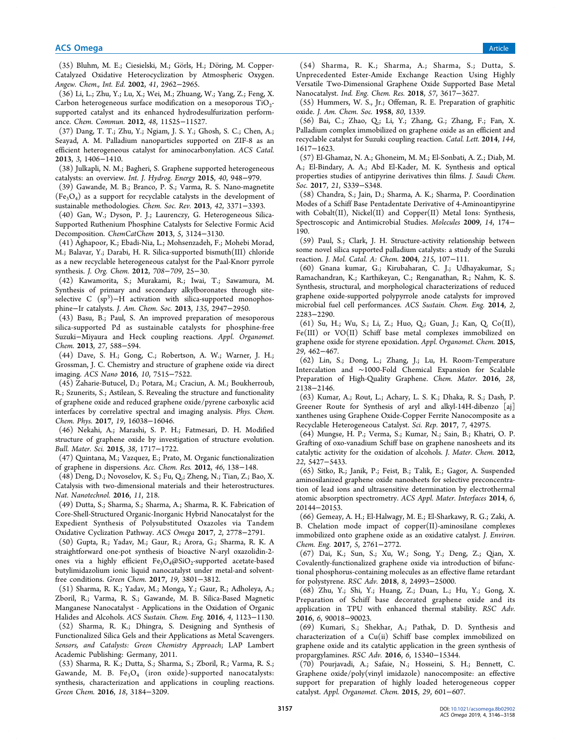(35) Bluhm, M. E.; Ciesielski, M.; Görls, H.; Döring, M. Copper-Catalyzed Oxidative Heterocyclization by Atmospheric Oxygen. *Angew. Chem., Int. Ed.* 2002, *41*, 2962−2965.

(36) Li, L.; Zhu, Y.; Lu, X.; Wei, M.; Zhuang, W.; Yang, Z.; Feng, X. Carbon heterogeneous surface modification on a mesoporous  $\text{TiO}_2$ supported catalyst and its enhanced hydrodesulfurization performance. *Chem. Commun.* 2012, *48*, 11525−11527.

(37) Dang, T. T.; Zhu, Y.; Ngiam, J. S. Y.; Ghosh, S. C.; Chen, A.; Seayad, A. M. Palladium nanoparticles supported on ZIF-8 as an efficient heterogeneous catalyst for aminocarbonylation. *ACS Catal.* 2013, *3*, 1406−1410.

(38) Julkapli, N. M.; Bagheri, S. Graphene supported heterogeneous catalysts: an overview. *Int. J. Hydrog. Energy* 2015, *40*, 948−979.

(39) Gawande, M. B.; Branco, P. S.; Varma, R. S. Nano-magnetite  $(Fe<sub>3</sub>O<sub>4</sub>)$  as a support for recyclable catalysts in the development of sustainable methodologies. *Chem. Soc. Rev.* 2013, *42*, 3371−3393.

(40) Gan, W.; Dyson, P. J.; Laurenczy, G. Heterogeneous Silica-Supported Ruthenium Phosphine Catalysts for Selective Formic Acid Decomposition. *ChemCatChem* 2013, *5*, 3124−3130.

(41) Aghapoor, K.; Ebadi-Nia, L.; Mohsenzadeh, F.; Mohebi Morad, M.; Balavar, Y.; Darabi, H. R. Silica-supported bismuth(III) chloride as a new recyclable heterogeneous catalyst for the Paal-Knorr pyrrole synthesis. *J. Org. Chem.* 2012, *708*−*709*, 25−30.

(42) Kawamorita, S.; Murakami, R.; Iwai, T.; Sawamura, M. Synthesis of primary and secondary alkylboronates through siteselective  $C$  (sp<sup>3</sup>) – H activation with silica-supported monophosphine−Ir catalysts. *J. Am. Chem. Soc.* 2013, *135*, 2947−2950.

(43) Basu, B.; Paul, S. An improved preparation of mesoporous silica-supported Pd as sustainable catalysts for phosphine-free Suzuki−Miyaura and Heck coupling reactions. *Appl. Organomet. Chem.* 2013, *27*, 588−594.

(44) Dave, S. H.; Gong, C.; Robertson, A. W.; Warner, J. H.; Grossman, J. C. Chemistry and structure of graphene oxide via direct imaging. *ACS Nano* 2016, *10*, 7515−7522.

(45) Zaharie-Butucel, D.; Potara, M.; Craciun, A. M.; Boukherroub, R.; Szunerits, S.; Astilean, S. Revealing the structure and functionality of graphene oxide and reduced graphene oxide/pyrene carboxylic acid interfaces by correlative spectral and imaging analysis. *Phys. Chem. Chem. Phys.* 2017, *19*, 16038−16046.

(46) Nekahi, A.; Marashi, S. P. H.; Fatmesari, D. H. Modified structure of graphene oxide by investigation of structure evolution. *Bull. Mater. Sci.* 2015, *38*, 1717−1722.

(47) Quintana, M.; Vazquez, E.; Prato, M. Organic functionalization of graphene in dispersions. *Acc. Chem. Res.* 2012, *46*, 138−148.

(48) Deng, D.; Novoselov, K. S.; Fu, Q.; Zheng, N.; Tian, Z.; Bao, X. Catalysis with two-dimensional materials and their heterostructures. *Nat. Nanotechnol.* 2016, *11*, 218.

(49) Dutta, S.; Sharma, S.; Sharma, A.; Sharma, R. K. Fabrication of Core-Shell-Structured Organic-Inorganic Hybrid Nanocatalyst for the Expedient Synthesis of Polysubstituted Oxazoles via Tandem Oxidative Cyclization Pathway. *ACS Omega* 2017, *2*, 2778−2791.

(50) Gupta, R.; Yadav, M.; Gaur, R.; Arora, G.; Sharma, R. K. A straightforward one-pot synthesis of bioactive N-aryl oxazolidin-2 ones via a highly efficient  $Fe_{3}O_{4} @ SiO_{2}$ -supported acetate-based butylimidazolium ionic liquid nanocatalyst under metal-and solventfree conditions. *Green Chem.* 2017, *19*, 3801−3812.

(51) Sharma, R. K.; Yadav, M.; Monga, Y.; Gaur, R.; Adholeya, A.; Zboril, R.; Varma, R. S.; Gawande, M. B. Silica-Based Magnetic Manganese Nanocatalyst - Applications in the Oxidation of Organic Halides and Alcohols. *ACS Sustain. Chem. Eng.* 2016, *4*, 1123−1130.

(52) Sharma, R. K.; Dhingra, S. Designing and Synthesis of Functionalized Silica Gels and their Applications as Metal Scavengers. *Sensors, and Catalysts: Green Chemistry Approach*; LAP Lambert Academic Publishing: Germany, 2011.

(53) Sharma, R. K.; Dutta, S.; Sharma, S.; Zboril, R.; Varma, R. S.; Gawande, M. B. Fe<sub>3</sub>O<sub>4</sub> (iron oxide)-supported nanocatalysts: synthesis, characterization and applications in coupling reactions. *Green Chem.* 2016, *18*, 3184−3209.

(54) Sharma, R. K.; Sharma, A.; Sharma, S.; Dutta, S. Unprecedented Ester-Amide Exchange Reaction Using Highly Versatile Two-Dimensional Graphene Oxide Supported Base Metal Nanocatalyst. *Ind. Eng. Chem. Res.* 2018, *57*, 3617−3627.

(55) Hummers, W. S., Jr.; Offeman, R. E. Preparation of graphitic oxide. *J. Am. Chem. Soc.* 1958, *80*, 1339.

(56) Bai, C.; Zhao, Q.; Li, Y.; Zhang, G.; Zhang, F.; Fan, X. Palladium complex immobilized on graphene oxide as an efficient and recyclable catalyst for Suzuki coupling reaction. *Catal. Lett.* 2014, *144*, 1617−1623.

(57) El-Ghamaz, N. A.; Ghoneim, M. M.; El-Sonbati, A. Z.; Diab, M. A.; El-Bindary, A. A.; Abd El-Kader, M. K. Synthesis and optical properties studies of antipyrine derivatives thin films. *J. Saudi Chem. Soc.* 2017, *21*, S339−S348.

(58) Chandra, S.; Jain, D.; Sharma, A. K.; Sharma, P. Coordination Modes of a Schiff Base Pentadentate Derivative of 4-Aminoantipyrine with Cobalt(II), Nickel(II) and Copper(II) Metal Ions: Synthesis, Spectroscopic and Antimicrobial Studies. *Molecules* 2009, *14*, 174− 190.

(59) Paul, S.; Clark, J. H. Structure-activity relationship between some novel silica supported palladium catalysts: a study of the Suzuki reaction. *J. Mol. Catal. A: Chem.* 2004, *215*, 107−111.

(60) Gnana kumar, G.; Kirubaharan, C. J.; Udhayakumar, S.; Ramachandran, K.; Karthikeyan, C.; Renganathan, R.; Nahm, K. S. Synthesis, structural, and morphological characterizations of reduced graphene oxide-supported polypyrrole anode catalysts for improved microbial fuel cell performances. *ACS Sustain. Chem. Eng.* 2014, *2*, 2283−2290.

(61) Su, H.; Wu, S.; Li, Z.; Huo, Q.; Guan, J.; Kan, Q. Co(II), Fe(III) or VO(II) Schiff base metal complexes immobilized on graphene oxide for styrene epoxidation. *Appl. Organomet. Chem.* 2015, *29*, 462−467.

(62) Lin, S.; Dong, L.; Zhang, J.; Lu, H. Room-Temperature Intercalation and ∼1000-Fold Chemical Expansion for Scalable Preparation of High-Quality Graphene. *Chem. Mater.* 2016, *28*, 2138−2146.

(63) Kumar, A.; Rout, L.; Achary, L. S. K.; Dhaka, R. S.; Dash, P. Greener Route for Synthesis of aryl and alkyl-14H-dibenzo [aj] xanthenes using Graphene Oxide-Copper Ferrite Nanocomposite as a Recyclable Heterogeneous Catalyst. *Sci. Rep.* 2017, *7*, 42975.

(64) Mungse, H. P.; Verma, S.; Kumar, N.; Sain, B.; Khatri, O. P. Grafting of oxo-vanadium Schiff base on graphene nanosheets and its catalytic activity for the oxidation of alcohols. *J. Mater. Chem.* 2012, *22*, 5427−5433.

(65) Sitko, R.; Janik, P.; Feist, B.; Talik, E.; Gagor, A. Suspended aminosilanized graphene oxide nanosheets for selective preconcentration of lead ions and ultrasensitive determination by electrothermal atomic absorption spectrometry. *ACS Appl. Mater. Interfaces* 2014, *6*, 20144−20153.

(66) Gemeay, A. H.; El-Halwagy, M. E.; El-Sharkawy, R. G.; Zaki, A. B. Chelation mode impact of copper(II)-aminosilane complexes immobilized onto graphene oxide as an oxidative catalyst. *J. Environ. Chem. Eng.* 2017, *5*, 2761−2772.

(67) Dai, K.; Sun, S.; Xu, W.; Song, Y.; Deng, Z.; Qian, X. Covalently-functionalized graphene oxide via introduction of bifunctional phosphorus-containing molecules as an effective flame retardant for polystyrene. *RSC Adv.* 2018, *8*, 24993−25000.

(68) Zhu, Y.; Shi, Y.; Huang, Z.; Duan, L.; Hu, Y.; Gong, X. Preparation of Schiff base decorated graphene oxide and its application in TPU with enhanced thermal stability. *RSC Adv.* 2016, *6*, 90018−90023.

(69) Kumari, S.; Shekhar, A.; Pathak, D. D. Synthesis and characterization of a Cu(ii) Schiff base complex immobilized on graphene oxide and its catalytic application in the green synthesis of propargylamines. *RSC Adv.* 2016, *6*, 15340−15344.

(70) Pourjavadi, A.; Safaie, N.; Hosseini, S. H.; Bennett, C. Graphene oxide/poly(vinyl imidazole) nanocomposite: an effective support for preparation of highly loaded heterogeneous copper catalyst. *Appl. Organomet. Chem.* 2015, *29*, 601−607.